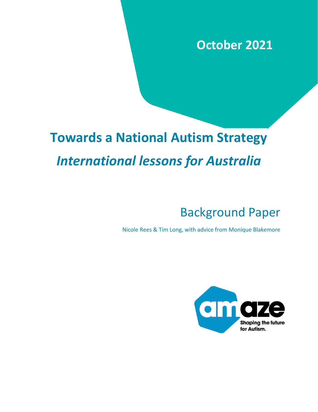# **October 2021**

# **Towards a National Autism Strategy** *International lessons for Australia*

# Background Paper

Nicole Rees & Tim Long, with advice from Monique Blakemore

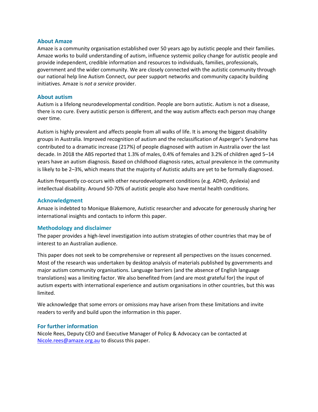#### **About Amaze**

Amaze is a community organisation established over 50 years ago by autistic people and their families. Amaze works to build understanding of autism, influence systemic policy change for autistic people and provide independent, credible information and resources to individuals, families, professionals, government and the wider community. We are closely connected with the autistic community through our national help line Autism Connect, our peer support networks and community capacity building initiatives. Amaze is *not a service* provider.

#### **About autism**

Autism is a lifelong neurodevelopmental condition. People are born autistic. Autism is not a disease, there is no cure. Every autistic person is different, and the way autism affects each person may change over time.

Autism is highly prevalent and affects people from all walks of life. It is among the biggest disability groups in Australia. Improved recognition of autism and the reclassification of Asperger's Syndrome has contributed to a dramatic increase (217%) of people diagnosed with autism in Australia over the last decade. In 2018 the ABS reported that 1.3% of males, 0.4% of females and 3.2% of children aged 5–14 years have an autism diagnosis. Based on childhood diagnosis rates, actual prevalence in the community is likely to be 2–3%, which means that the majority of Autistic adults are yet to be formally diagnosed.

Autism frequently co-occurs with other neurodevelopment conditions (e.g. ADHD, dyslexia) and intellectual disability. Around 50-70% of autistic people also have mental health conditions.

#### **Acknowledgment**

Amaze is indebted to Monique Blakemore, Autistic researcher and advocate for generously sharing her international insights and contacts to inform this paper.

#### **Methodology and disclaimer**

The paper provides a high-level investigation into autism strategies of other countries that may be of interest to an Australian audience.

This paper does not seek to be comprehensive or represent all perspectives on the issues concerned. Most of the research was undertaken by desktop analysis of materials published by governments and major autism community organisations. Language barriers (and the absence of English language translations) was a limiting factor. We also benefited from (and are most grateful for) the input of autism experts with international experience and autism organisations in other countries, but this was limited.

We acknowledge that some errors or omissions may have arisen from these limitations and invite readers to verify and build upon the information in this paper.

#### **For further information**

Nicole Rees, Deputy CEO and Executive Manager of Policy & Advocacy can be contacted at [Nicole.rees@amaze.org.au](mailto:Nicole.rees@amaze.org.au) to discuss this paper.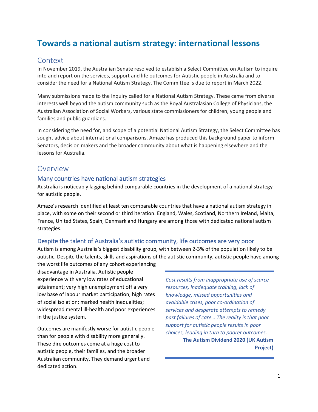### **Towards a national autism strategy: international lessons**

#### **Context**

In November 2019, the Australian Senate resolved to establish a Select Committee on Autism to inquire into and report on the services, support and life outcomes for Autistic people in Australia and to consider the need for a National Autism Strategy. The Committee is due to report in March 2022.

Many submissions made to the Inquiry called for a National Autism Strategy. These came from diverse interests well beyond the autism community such as the Royal Australasian College of Physicians, the Australian Association of Social Workers, various state commissioners for children, young people and families and public guardians.

In considering the need for, and scope of a potential National Autism Strategy, the Select Committee has sought advice about international comparisons. Amaze has produced this background paper to inform Senators, decision makers and the broader community about what is happening elsewhere and the lessons for Australia.

#### Overview

#### Many countries have national autism strategies

Australia is noticeably lagging behind comparable countries in the development of a national strategy for autistic people.

Amaze's research identified at least ten comparable countries that have a national autism strategy in place, with some on their second or third iteration. England, Wales, Scotland, Northern Ireland, Malta, France, United States, Spain, Denmark and Hungary are among those with dedicated national autism strategies.

#### Despite the talent of Australia's autistic community, life outcomes are very poor

Autism is among Australia's biggest disability group, with between 2-3% of the population likely to be autistic. Despite the talents, skills and aspirations of the autistic community, autistic people have among

the worst life outcomes of any cohort experiencing disadvantage in Australia. Autistic people experience with very low rates of educational attainment; very high unemployment off a very low base of labour market participation; high rates of social isolation; marked health inequalities; widespread mental ill-health and poor experiences in the justice system.

Outcomes are manifestly worse for autistic people than for people with disability more generally. These dire outcomes come at a huge cost to autistic people, their families, and the broader Australian community. They demand urgent and dedicated action.

*Cost results from inappropriate use of scarce resources, inadequate training, lack of knowledge, missed opportunities and avoidable crises, poor co-ordination of services and desperate attempts to remedy past failures of care… The reality is that poor support for autistic people results in poor choices, leading in turn to poorer outcomes.* **The Autism Dividend 2020 (UK Autism** 

**Project)**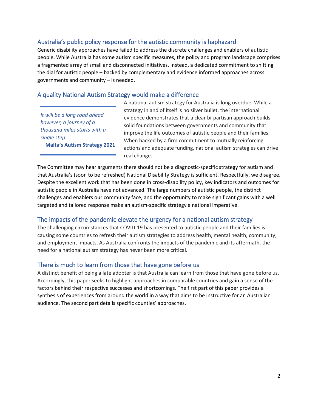#### Australia's public policy response for the autistic community is haphazard

Generic disability approaches have failed to address the discrete challenges and enablers of autistic people. While Australia has some autism specific measures, the policy and program landscape comprises a fragmented array of small and disconnected initiatives. Instead, a dedicated commitment to shifting the dial for autistic people – backed by complementary and evidence informed approaches across governments and community – is needed.

#### A quality National Autism Strategy would make a difference

*It will be a long road ahead – however, a journey of a thousand miles starts with a single step.* 

**Malta's Autism Strategy 2021**

A national autism strategy for Australia is long overdue. While a strategy in and of itself is no silver bullet, the international evidence demonstrates that a clear bi-partisan approach builds solid foundations between governments and community that improve the life outcomes of autistic people and their families. When backed by a firm commitment to mutually reinforcing actions and adequate funding, national autism strategies can drive real change.

The Committee may hear arguments there should not be a diagnostic-specific strategy for autism and that Australia's (soon to be refreshed) National Disability Strategy is sufficient. Respectfully, we disagree. Despite the excellent work that has been done in cross-disability policy, key indicators and outcomes for autistic people in Australia have not advanced. The large numbers of autistic people, the distinct challenges and enablers our community face, and the opportunity to make significant gains with a well targeted and tailored response make an autism-specific strategy a national imperative.

#### The impacts of the pandemic elevate the urgency for a national autism strategy

The challenging circumstances that COVID-19 has presented to autistic people and their families is causing some countries to refresh their autism strategies to address health, mental health, community, and employment impacts. As Australia confronts the impacts of the pandemic and its aftermath, the need for a national autism strategy has never been more critical.

#### There is much to learn from those that have gone before us

A distinct benefit of being a late adopter is that Australia can learn from those that have gone before us. Accordingly, this paper seeks to highlight approaches in comparable countries and gain a sense of the factors behind their respective successes and shortcomings. The first part of this paper provides a synthesis of experiences from around the world in a way that aims to be instructive for an Australian audience. The second part details specific counties' approaches.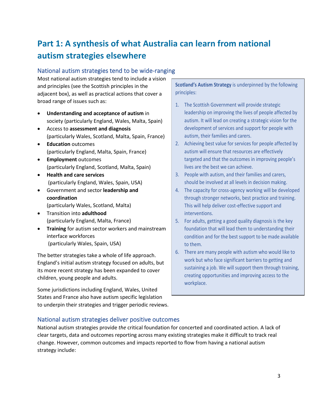## **Part 1: A synthesis of what Australia can learn from national autism strategies elsewhere**

#### National autism strategies tend to be wide-ranging

Most national autism strategies tend to include a vision and principles (see the Scottish principles in the adjacent box), as well as practical actions that cover a broad range of issues such as:

- **Understanding and acceptance of autism** in society (particularly England, Wales, Malta, Spain)
- Access to **assessment and diagnosis** (particularly Wales, Scotland, Malta, Spain, France)
- **Education** outcomes (particularly England, Malta, Spain, France)
- **Employment** outcomes (particularly England, Scotland, Malta, Spain)
- **Health and care services** (particularly England, Wales, Spain, USA)
- Government and sector **leadership and coordination**  (particularly Wales, Scotland, Malta)
- Transition into **adulthood**  (particularly England, Malta, France)
- **Training** for autism sector workers and mainstream interface workforces (particularly Wales, Spain, USA)

The better strategies take a whole of life approach. England's initial autism strategy focused on adults, but its more recent strategy has been expanded to cover children, young people and adults.

Some jurisdictions including England, Wales, United States and France also have autism specific legislation to underpin their strategies and trigger periodic reviews. **Scotland's Autism Strategy** is underpinned by the following principles:

- 1. The Scottish Government will provide strategic leadership on improving the lives of people affected by autism. It will lead on creating a strategic vision for the development of services and support for people with autism, their families and carers.
- 2. Achieving best value for services for people affected by autism will ensure that resources are effectively targeted and that the outcomes in improving people's lives are the best we can achieve.
- 3. People with autism, and their families and carers, should be involved at all levels in decision making.
- 4. The capacity for cross-agency working will be developed through stronger networks, best practice and training. This will help deliver cost-effective support and interventions.
- 5. For adults, getting a good quality diagnosis is the key foundation that will lead them to understanding their condition and for the best support to be made available to them.
- 6. There are many people with autism who would like to work but who face significant barriers to getting and sustaining a job. We will support them through training, creating opportunities and improving access to the workplace.

#### National autism strategies deliver positive outcomes

National autism strategies provide *the* critical foundation for concerted and coordinated action. A lack of clear targets, data and outcomes reporting across many existing strategies make it difficult to track real change. However, common outcomes and impacts reported to flow from having a national autism strategy include: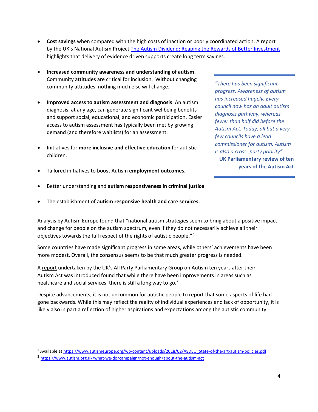- **Cost savings** when compared with the high costs of inaction or poorly coordinated action. A report by the UK's National Autism Project [The Autism Dividend: Reaping the Rewards of Better Investment](https://nationalautistictaskforce.org.uk/wp-content/uploads/2020/02/autism-dividend-report.pdf) highlights that delivery of evidence driven supports create long term savings.
- **Increased community awareness and understanding of autism**. Community attitudes are critical for inclusion. Without changing community attitudes, nothing much else will change.
- **Improved access to autism assessment and diagnosis**. An autism diagnosis, at any age, can generate significant wellbeing benefits and support social, educational, and economic participation. Easier access to autism assessment has typically been met by growing demand (and therefore waitlists) for an assessment.
- Initiatives for **more inclusive and effective education** for autistic children.

*"There has been significant progress. Awareness of autism has increased hugely. Every council now has an adult autism diagnosis pathway, whereas fewer than half did before the Autism Act. Today, all but a very few councils have a lead commissioner for autism. Autism is also a cross- party priority"*  **UK Parliamentary review of ten years of the Autism Act** 

- Tailored initiatives to boost Autism **employment outcomes.**
- Better understanding and **autism responsiveness in criminal justice**.
- The establishment of **autism responsive health and care services.**

Analysis by Autism Europe found that "national autism strategies seem to bring about a positive impact and change for people on the autism spectrum, even if they do not necessarily achieve all their objectives towards the full respect of the rights of autistic people."<sup>1</sup>

Some countries have made significant progress in some areas, while others' achievements have been more modest. Overall, the consensus seems to be that much greater progress is needed.

A [report](https://www.autism.org.uk/what-we-do/campaign/not-enough/about-the-autism-act) undertaken by the UK's All Party Parliamentary Group on Autism ten years after their Autism Act was introduced found that while there have been improvements in areas such as healthcare and social services, there is still a long way to go*. 2*

Despite advancements, it is not uncommon for autistic people to report that some aspects of life had gone backwards. While this may reflect the reality of individual experiences and lack of opportunity, it is likely also in part a reflection of higher aspirations and expectations among the autistic community.

<sup>1</sup> Available a[t https://www.autismeurope.org/wp-content/uploads/2018/02/ASDEU\\_State-of-the-art-autism-policies.pdf](https://www.autismeurope.org/wp-content/uploads/2018/02/ASDEU_State-of-the-art-autism-policies.pdf)

<sup>&</sup>lt;sup>2</sup> <https://www.autism.org.uk/what-we-do/campaign/not-enough/about-the-autism-act>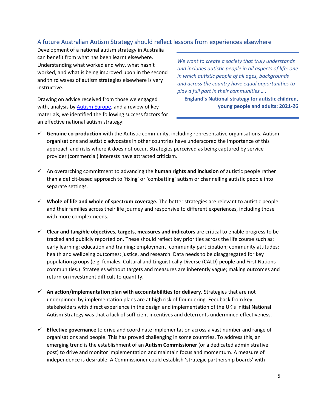#### A future Australian Autism Strategy should reflect lessons from experiences elsewhere

Development of a national autism strategy in Australia can benefit from what has been learnt elsewhere. Understanding what worked and why, what hasn't worked, and what is being improved upon in the second and third waves of autism strategies elsewhere is very instructive.

Drawing on advice received from those we engaged with, analysis by Autism [Europe,](http://asdeu.eu/wp-content/uploads/2016/12/WP-4_2-To-Develop-a-Public-Health-Plan-Addressing-ASD.pdf) and a review of key materials, we identified the following success factors for an effective national autism strategy:

*We want to create a society that truly understands and includes autistic people in all aspects of life; one in which autistic people of all ages, backgrounds and across the country have equal opportunities to play a full part in their communities ….*

**England's National strategy for autistic children, young people and adults: 2021-26**

- ✓ **Genuine co-production** with the Autistic community, including representative organisations. Autism organisations and autistic advocates in other countries have underscored the importance of this approach and risks where it does not occur. Strategies perceived as being captured by service provider (commercial) interests have attracted criticism.
- ✓ An overarching commitment to advancing the **human rights and inclusion** of autistic people rather than a deficit-based approach to 'fixing' or 'combatting' autism or channelling autistic people into separate settings.
- ✓ **Whole of life and whole of spectrum coverage.** The better strategies are relevant to autistic people and their families across their life journey and responsive to different experiences, including those with more complex needs.
- ✓ **Clear and tangible objectives, targets, measures and indicators** are critical to enable progress to be tracked and publicly reported on. These should reflect key priorities across the life course such as: early learning; education and training; employment; community participation; community attitudes; health and wellbeing outcomes; justice, and research. Data needs to be disaggregated for key population groups (e.g. females, Cultural and Linguistically Diverse (CALD) people and First Nations communities.) Strategies without targets and measures are inherently vague; making outcomes and return on investment difficult to quantify.
- ✓ **An action/implementation plan with accountabilities for delivery.** Strategies that are not underpinned by implementation plans are at high risk of floundering. Feedback from key stakeholders with direct experience in the design and implementation of the UK's initial National Autism Strategy was that a lack of sufficient incentives and deterrents undermined effectiveness.
- ✓ **Effective governance** to drive and coordinate implementation across a vast number and range of organisations and people. This has proved challenging in some countries. To address this, an emerging trend is the establishment of an **Autism Commissioner** (or a dedicated administrative post) to drive and monitor implementation and maintain focus and momentum. A measure of independence is desirable. A Commissioner could establish 'strategic partnership boards' with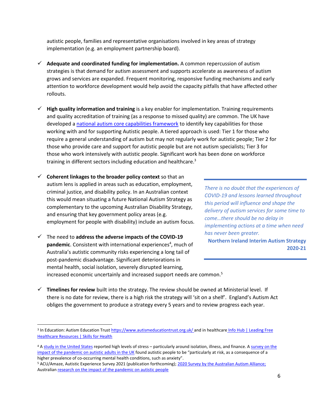autistic people, families and representative organisations involved in key areas of strategy implementation (e.g. an employment partnership board).

- ✓ **Adequate and coordinated funding for implementation.** A common repercussion of autism strategies is that demand for autism assessment and supports accelerate as awareness of autism grows and services are expanded. Frequent monitoring, responsive funding mechanisms and early attention to workforce development would help avoid the capacity pitfalls that have affected other rollouts.
- ✓ **High quality information and training** is a key enabler for implementation. Training requirements and quality accreditation of training (as a response to missed quality) are common. The UK have developed a [national autism core capabilities framework](https://maudsleylearning.com/launching-the-autism-core-capabilities-repository-our-findings-from-the-accept-project/?utm_medium=email&_hsmi=2&_hsenc=p2ANqtz-_fBj_oUs51rsx7si2K4eRtp_KeKk8-RQDd28Va00upGn5vECewY8OsCPbMwbyRLX4eXDRUYJ9KHQ1fTuKfl1cLRsNFUQ&utm_content=2&utm_source=hs_email) to identify key capabilities for those working with and for supporting Autistic people. A tiered approach is used: Tier 1 for those who require a general understanding of autism but may not regularly work for autistic people; Tier 2 for those who provide care and support for autistic people but are not autism specialists; Tier 3 for those who work intensively with autistic people. Significant work has been done on workforce training in different sectors including education and healthcare.<sup>3</sup>
- ✓ **Coherent linkages to the broader policy context** so that an autism lens is applied in areas such as education, employment, criminal justice, and disability policy. In an Australian context this would mean situating a future National Autism Strategy as complementary to the upcoming Australian Disability Strategy, and ensuring that key government policy areas (e.g. employment for people with disability) include an autism focus.
- ✓ The need to **address the adverse impacts of the COVID-19**  pandemic. Consistent with international experiences<sup>4</sup>, much of Australia's autistic community risks experiencing a long tail of post-pandemic disadvantage. Significant deteriorations in mental health, social isolation, severely disrupted learning, increased economic uncertainly and increased support needs are common.<sup>5</sup>

*There is no doubt that the experiences of COVID-19 and lessons learned throughout this period will influence and shape the delivery of autism services for some time to come…there should be no delay in implementing actions at a time when need has never been greater.*

**Northern Ireland Interim Autism Strategy 2020-21**

✓ **Timelines for review** built into the strategy. The review should be owned at Ministerial level. If there is no date for review, there is a high risk the strategy will 'sit on a shelf'. England's Autism Act obliges the government to produce a strategy every 5 years and to review progress each year.

<sup>&</sup>lt;sup>3</sup> In Education: Autism Education Trus[t https://www.autismeducationtrust.org.uk/](https://www.autismeducationtrust.org.uk/) and in healthcare Info Hub | Leading Free [Healthcare Resources | Skills for Health](https://skillsforhealth.org.uk/info-hub/learning-disability-and-autism-frameworks-2019/)

<sup>4</sup> [A study in the United States](https://link.springer.com/article/10.1007/s10803-020-04760-5) reported high levels of stress – particularly around isolation, illness, and finance. [A survey on the](https://www.emerald.com/insight/content/doi/10.1108/AIA-10-2020-0057/full/html)  [impact of the pandemic on autistic adults in the UK](https://www.emerald.com/insight/content/doi/10.1108/AIA-10-2020-0057/full/html) found autistic people to be "particularly at risk, as a consequence of a higher prevalence of co-occurring mental health conditions, such as anxiety".

<sup>5</sup> ACU/Amaze, Autistic Experience Survey 2021 (publication forthcoming); [2020 Survey by the Australian Autism Alliance;](https://amazevic.sharepoint.com/:b:/g/EVtAZ46MeLNNmQUYD3aXWcQBV9vLP7LfqnTC8KiwzZLkpg?e=57Iq0Y) Australia[n research on the impact of the pandemic on autistic people](https://www.sydney.edu.au/dam/corporate/documents/sydney-policy-lab/everyday-experiences-of-autistic-people-during-covid-19---report---july-2020.pdf)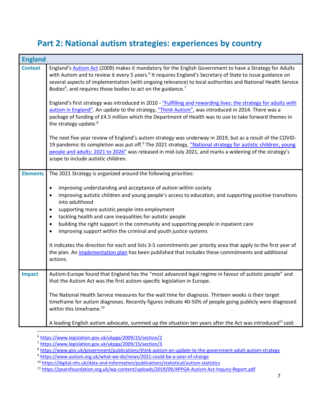### **Part 2: National autism strategies: experiences by country**

| <b>England</b>  |                                                                                                                                                                                                                                                                                                                                                                                                                                                                                                                                                                                                                                                                                                                                                                                           |
|-----------------|-------------------------------------------------------------------------------------------------------------------------------------------------------------------------------------------------------------------------------------------------------------------------------------------------------------------------------------------------------------------------------------------------------------------------------------------------------------------------------------------------------------------------------------------------------------------------------------------------------------------------------------------------------------------------------------------------------------------------------------------------------------------------------------------|
| <b>Context</b>  | England's Autism Act (2009) makes it mandatory for the English Government to have a Strategy for Adults<br>with Autism and to review it every 5 years. <sup>9</sup> It requires England's Secretary of State to issue guidance on<br>several aspects of implementation (with ongoing relevance) to local authorities and National Health Service<br>Bodies <sup>6</sup> , and requires those bodies to act on the guidance. <sup>7</sup>                                                                                                                                                                                                                                                                                                                                                  |
|                 | England's first strategy was introduced in 2010 - "Fulfilling and rewarding lives: the strategy for adults with<br>autism in England". An update to the strategy, "Think Autism", was introduced in 2014. There was a<br>package of funding of £4.5 million which the Department of Health was to use to take forward themes in<br>the strategy update. <sup>8</sup>                                                                                                                                                                                                                                                                                                                                                                                                                      |
|                 | The next five year review of England's autism strategy was underway in 2019, but as a result of the COVID-<br>19 pandemic its completion was put off. <sup>9</sup> The 2021 strategy, "National strategy for autistic children, young<br>people and adults: 2021 to 2026" was released in mid-July 2021, and marks a widening of the strategy's<br>scope to include autistic children.                                                                                                                                                                                                                                                                                                                                                                                                    |
| <b>Elements</b> | The 2021 Strategy is organized around the following priorities:                                                                                                                                                                                                                                                                                                                                                                                                                                                                                                                                                                                                                                                                                                                           |
|                 | improving understanding and acceptance of autism within society<br>$\bullet$<br>improving autistic children and young people's access to education, and supporting positive transitions<br>$\bullet$<br>into adulthood<br>supporting more autistic people into employment<br>$\bullet$<br>tackling health and care inequalities for autistic people<br>$\bullet$<br>building the right support in the community and supporting people in inpatient care<br>$\bullet$<br>improving support within the criminal and youth justice systems<br>$\bullet$<br>It indicates the direction for each and lists 3-5 commitments per priority area that apply to the first year of<br>the plan. An implementation plan has been published that includes these commitments and additional<br>actions. |
| <b>Impact</b>   | Autism-Europe found that England has the "most advanced legal regime in favour of autistic people" and<br>that the Autism Act was the first autism-specific legislation in Europe.                                                                                                                                                                                                                                                                                                                                                                                                                                                                                                                                                                                                        |
|                 | The National Health Service measures for the wait time for diagnosis. Thirteen weeks is their target<br>timeframe for autism diagnoses. Recently figures indicate 40-50% of people going publicly were diagnosed<br>within this timeframe. <sup>10</sup>                                                                                                                                                                                                                                                                                                                                                                                                                                                                                                                                  |
|                 | A leading English autism advocate, summed up the situation ten years after the Act was introduced <sup>11</sup> said:                                                                                                                                                                                                                                                                                                                                                                                                                                                                                                                                                                                                                                                                     |

<sup>6</sup> <https://www.legislation.gov.uk/ukpga/2009/15/section/2>

<sup>7</sup> <https://www.legislation.gov.uk/ukpga/2009/15/section/3>

<sup>8</sup> <https://www.gov.uk/government/publications/think-autism-an-update-to-the-government-adult-autism-strategy>

<sup>9</sup> <https://www.autism.org.uk/what-we-do/news/2021-could-be-a-year-of-change>

<sup>&</sup>lt;sup>10</sup> <https://digital.nhs.uk/data-and-information/publications/statistical/autism-statistics>

<sup>&</sup>lt;sup>11</sup> <https://pearsfoundation.org.uk/wp-content/uploads/2019/09/APPGA-Autism-Act-Inquiry-Report.pdf>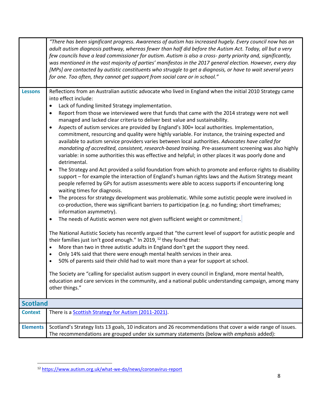|                 | "There has been significant progress. Awareness of autism has increased hugely. Every council now has an<br>adult autism diagnosis pathway, whereas fewer than half did before the Autism Act. Today, all but a very<br>few councils have a lead commissioner for autism. Autism is also a cross- party priority and, significantly,<br>was mentioned in the vast majority of parties' manifestos in the 2017 general election. However, every day<br>[MPs] are contacted by autistic constituents who struggle to get a diagnosis, or have to wait several years<br>for one. Too often, they cannot get support from social care or in school."                                                                                                                                                                                                                                                                                                                                                                                                                                                                                                                                                                                                                                                                                                                                                                                                                                                                                                                                                                                                                                                                                                                                                                                                                                                                                                                                                                                                                                                                                                                                                                                                                                                                                                                                                                |
|-----------------|-----------------------------------------------------------------------------------------------------------------------------------------------------------------------------------------------------------------------------------------------------------------------------------------------------------------------------------------------------------------------------------------------------------------------------------------------------------------------------------------------------------------------------------------------------------------------------------------------------------------------------------------------------------------------------------------------------------------------------------------------------------------------------------------------------------------------------------------------------------------------------------------------------------------------------------------------------------------------------------------------------------------------------------------------------------------------------------------------------------------------------------------------------------------------------------------------------------------------------------------------------------------------------------------------------------------------------------------------------------------------------------------------------------------------------------------------------------------------------------------------------------------------------------------------------------------------------------------------------------------------------------------------------------------------------------------------------------------------------------------------------------------------------------------------------------------------------------------------------------------------------------------------------------------------------------------------------------------------------------------------------------------------------------------------------------------------------------------------------------------------------------------------------------------------------------------------------------------------------------------------------------------------------------------------------------------------------------------------------------------------------------------------------------------|
| <b>Lessons</b>  | Reflections from an Australian autistic advocate who lived in England when the initial 2010 Strategy came<br>into effect include:<br>Lack of funding limited Strategy implementation.<br>$\bullet$<br>Report from those we interviewed were that funds that came with the 2014 strategy were not well<br>$\bullet$<br>managed and lacked clear criteria to deliver best value and sustainability.<br>Aspects of autism services are provided by England's 300+ local authorities. Implementation,<br>$\bullet$<br>commitment, resourcing and quality were highly variable. For instance, the training expected and<br>available to autism service providers varies between local authorities. Advocates have called for<br>mandating of accredited, consistent, research-based training. Pre-assessment screening was also highly<br>variable: in some authorities this was effective and helpful; in other places it was poorly done and<br>detrimental.<br>The Strategy and Act provided a solid foundation from which to promote and enforce rights to disability<br>$\bullet$<br>support - for example the interaction of England's human rights laws and the Autism Strategy meant<br>people referred by GPs for autism assessments were able to access supports if encountering long<br>waiting times for diagnosis.<br>The process for strategy development was problematic. While some autistic people were involved in<br>$\bullet$<br>co-production, there was significant barriers to participation (e.g. no funding; short timeframes;<br>information asymmetry).<br>The needs of Autistic women were not given sufficient weight or commitment.<br>$\bullet$<br>The National Autistic Society has recently argued that "the current level of support for autistic people and<br>their families just isn't good enough." In 2019, $^{12}$ they found that:<br>More than two in three autistic adults in England don't get the support they need.<br>$\bullet$<br>Only 14% said that there were enough mental health services in their area.<br>$\bullet$<br>50% of parents said their child had to wait more than a year for support at school.<br>$\bullet$<br>The Society are "calling for specialist autism support in every council in England, more mental health,<br>education and care services in the community, and a national public understanding campaign, among many<br>other things." |
| <b>Scotland</b> |                                                                                                                                                                                                                                                                                                                                                                                                                                                                                                                                                                                                                                                                                                                                                                                                                                                                                                                                                                                                                                                                                                                                                                                                                                                                                                                                                                                                                                                                                                                                                                                                                                                                                                                                                                                                                                                                                                                                                                                                                                                                                                                                                                                                                                                                                                                                                                                                                 |
| <b>Context</b>  | There is a Scottish Strategy for Autism (2011-2021).                                                                                                                                                                                                                                                                                                                                                                                                                                                                                                                                                                                                                                                                                                                                                                                                                                                                                                                                                                                                                                                                                                                                                                                                                                                                                                                                                                                                                                                                                                                                                                                                                                                                                                                                                                                                                                                                                                                                                                                                                                                                                                                                                                                                                                                                                                                                                            |
| <b>Elements</b> | Scotland's Strategy lists 13 goals, 10 indicators and 26 recommendations that cover a wide range of issues.<br>The recommendations are grouped under six summary statements (below with emphasis added):                                                                                                                                                                                                                                                                                                                                                                                                                                                                                                                                                                                                                                                                                                                                                                                                                                                                                                                                                                                                                                                                                                                                                                                                                                                                                                                                                                                                                                                                                                                                                                                                                                                                                                                                                                                                                                                                                                                                                                                                                                                                                                                                                                                                        |

<sup>12</sup> <https://www.autism.org.uk/what-we-do/news/coronavirus-report>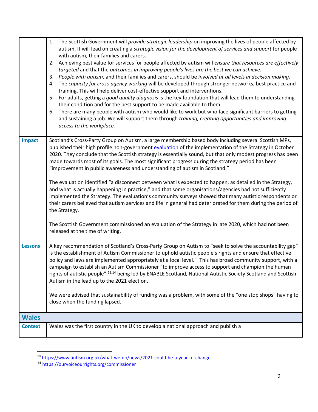|                | 1. The Scottish Government will provide strategic leadership on improving the lives of people affected by<br>autism. It will lead on creating a strategic vision for the development of services and support for people<br>with autism, their families and carers.<br>2. Achieving best value for services for people affected by autism will ensure that resources are effectively<br>targeted and that the outcomes in improving people's lives are the best we can achieve.<br>3. People with autism, and their families and carers, should be involved at all levels in decision making.<br>4. The capacity for cross-agency working will be developed through stronger networks, best practice and<br>training. This will help deliver cost-effective support and interventions.<br>5. For adults, getting a good quality diagnosis is the key foundation that will lead them to understanding<br>their condition and for the best support to be made available to them.<br>There are many people with autism who would like to work but who face significant barriers to getting<br>6.<br>and sustaining a job. We will support them through training, creating opportunities and improving<br>access to the workplace. |
|----------------|-------------------------------------------------------------------------------------------------------------------------------------------------------------------------------------------------------------------------------------------------------------------------------------------------------------------------------------------------------------------------------------------------------------------------------------------------------------------------------------------------------------------------------------------------------------------------------------------------------------------------------------------------------------------------------------------------------------------------------------------------------------------------------------------------------------------------------------------------------------------------------------------------------------------------------------------------------------------------------------------------------------------------------------------------------------------------------------------------------------------------------------------------------------------------------------------------------------------------------|
| <b>Impact</b>  | Scotland's Cross-Party Group on Autism, a large membership based body including several Scottish MPs,<br>published their high profile non-government evaluation of the implementation of the Strategy in October<br>2020. They conclude that the Scottish strategy is essentially sound, but that only modest progress has been<br>made towards most of its goals. The most significant progress during the strategy period has been<br>"improvement in public awareness and understanding of autism in Scotland."<br>The evaluation identified "a disconnect between what is expected to happen, as detailed in the Strategy,<br>and what is actually happening in practice," and that some organisations/agencies had not sufficiently<br>implemented the Strategy. The evaluation's community surveys showed that many autistic respondents or<br>their carers believed that autism services and life in general had deteriorated for them during the period of<br>the Strategy.<br>The Scottish Government commissioned an evaluation of the Strategy in late 2020, which had not been<br>released at the time of writing.                                                                                                |
| <b>Lessons</b> | A key recommendation of Scotland's Cross-Party Group on Autism to "seek to solve the accountability gap"<br>is the establishment of Autism Commissioner to uphold autistic people's rights and ensure that effective<br>policy and laws are implemented appropriately at a local level." This has broad community support, with a<br>campaign to establish an Autism Commissioner "to improve access to support and champion the human<br>rights of autistic people". <sup>13,14</sup> being led by ENABLE Scotland, National Autistic Society Scotland and Scottish<br>Autism in the lead up to the 2021 election.<br>We were advised that sustainability of funding was a problem, with some of the "one stop shops" having to<br>close when the funding lapsed.                                                                                                                                                                                                                                                                                                                                                                                                                                                            |
| <b>Wales</b>   |                                                                                                                                                                                                                                                                                                                                                                                                                                                                                                                                                                                                                                                                                                                                                                                                                                                                                                                                                                                                                                                                                                                                                                                                                               |
| <b>Context</b> | Wales was the first country in the UK to develop a national approach and publish a                                                                                                                                                                                                                                                                                                                                                                                                                                                                                                                                                                                                                                                                                                                                                                                                                                                                                                                                                                                                                                                                                                                                            |

<sup>&</sup>lt;sup>13</sup> <https://www.autism.org.uk/what-we-do/news/2021-could-be-a-year-of-change>

<sup>&</sup>lt;sup>14</sup> <https://ourvoiceourrights.org/commissioner>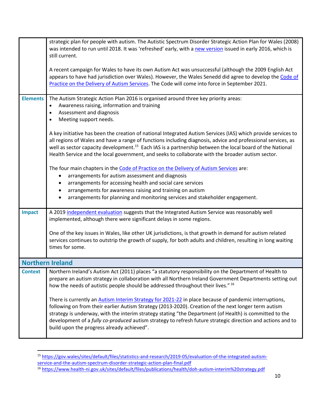|                 | strategic plan for people with autism. The Autistic Spectrum Disorder Strategic Action Plan for Wales (2008)<br>was intended to run until 2018. It was 'refreshed' early, with a new version issued in early 2016, which is                                                                                                                                                                                                                                                           |
|-----------------|---------------------------------------------------------------------------------------------------------------------------------------------------------------------------------------------------------------------------------------------------------------------------------------------------------------------------------------------------------------------------------------------------------------------------------------------------------------------------------------|
|                 | still current.                                                                                                                                                                                                                                                                                                                                                                                                                                                                        |
|                 | A recent campaign for Wales to have its own Autism Act was unsuccessful (although the 2009 English Act<br>appears to have had jurisdiction over Wales). However, the Wales Senedd did agree to develop the Code of<br>Practice on the Delivery of Autism Services. The Code will come into force in September 2021.                                                                                                                                                                   |
| <b>Elements</b> | The Autism Strategic Action Plan 2016 is organised around three key priority areas:                                                                                                                                                                                                                                                                                                                                                                                                   |
|                 | Awareness raising, information and training<br>$\bullet$<br>Assessment and diagnosis                                                                                                                                                                                                                                                                                                                                                                                                  |
|                 | Meeting support needs.                                                                                                                                                                                                                                                                                                                                                                                                                                                                |
|                 |                                                                                                                                                                                                                                                                                                                                                                                                                                                                                       |
|                 | A key initiative has been the creation of national Integrated Autism Services (IAS) which provide services to<br>all regions of Wales and have a range of functions including diagnosis, advice and professional services, as                                                                                                                                                                                                                                                         |
|                 | well as sector capacity development. <sup>15</sup> Each IAS is a partnership between the local board of the National                                                                                                                                                                                                                                                                                                                                                                  |
|                 | Health Service and the local government, and seeks to collaborate with the broader autism sector.                                                                                                                                                                                                                                                                                                                                                                                     |
|                 | The four main chapters in the Code of Practice on the Delivery of Autism Services are:                                                                                                                                                                                                                                                                                                                                                                                                |
|                 | arrangements for autism assessment and diagnosis                                                                                                                                                                                                                                                                                                                                                                                                                                      |
|                 | arrangements for accessing health and social care services                                                                                                                                                                                                                                                                                                                                                                                                                            |
|                 | arrangements for awareness raising and training on autism                                                                                                                                                                                                                                                                                                                                                                                                                             |
|                 | arrangements for planning and monitoring services and stakeholder engagement.                                                                                                                                                                                                                                                                                                                                                                                                         |
| <b>Impact</b>   | A 2019 independent evaluation suggests that the Integrated Autism Service was reasonably well<br>implemented, although there were significant delays in some regions.                                                                                                                                                                                                                                                                                                                 |
|                 |                                                                                                                                                                                                                                                                                                                                                                                                                                                                                       |
|                 | One of the key issues in Wales, like other UK jurisdictions, is that growth in demand for autism related<br>services continues to outstrip the growth of supply, for both adults and children, resulting in long waiting                                                                                                                                                                                                                                                              |
|                 | times for some.                                                                                                                                                                                                                                                                                                                                                                                                                                                                       |
|                 | <b>Northern Ireland</b>                                                                                                                                                                                                                                                                                                                                                                                                                                                               |
| <b>Context</b>  | Northern Ireland's Autism Act (2011) places "a statutory responsibility on the Department of Health to                                                                                                                                                                                                                                                                                                                                                                                |
|                 | prepare an autism strategy in collaboration with all Northern Ireland Government Departments setting out<br>how the needs of autistic people should be addressed throughout their lives." 16                                                                                                                                                                                                                                                                                          |
|                 | There is currently an Autism Interim Strategy for 2021-22 in place because of pandemic interruptions,<br>following on from their earlier Autism Strategy (2013-2020). Creation of the next longer term autism<br>strategy is underway, with the interim strategy stating "the Department (of Health) is committed to the<br>development of a fully co-produced autism strategy to refresh future strategic direction and actions and to<br>build upon the progress already achieved". |

<sup>15</sup> [https://gov.wales/sites/default/files/statistics-and-research/2019-05/evaluation-of-the-integrated-autism](https://gov.wales/sites/default/files/statistics-and-research/2019-05/evaluation-of-the-integrated-autism-service-and-the-autism-spectrum-disorder-strategic-action-plan-final.pdf)[service-and-the-autism-spectrum-disorder-strategic-action-plan-final.pdf](https://gov.wales/sites/default/files/statistics-and-research/2019-05/evaluation-of-the-integrated-autism-service-and-the-autism-spectrum-disorder-strategic-action-plan-final.pdf)

<sup>&</sup>lt;sup>16</sup> <https://www.health-ni.gov.uk/sites/default/files/publications/health/doh-autism-interim%20strategy.pdf>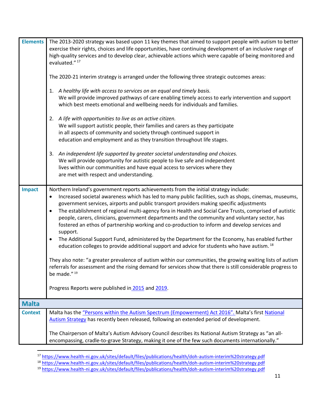| <b>Elements</b> | The 2013-2020 strategy was based upon 11 key themes that aimed to support people with autism to better                                                                                                                                                                                                                  |
|-----------------|-------------------------------------------------------------------------------------------------------------------------------------------------------------------------------------------------------------------------------------------------------------------------------------------------------------------------|
|                 | exercise their rights, choices and life opportunities, have continuing development of an inclusive range of                                                                                                                                                                                                             |
|                 | high-quality services and to develop clear, achievable actions which were capable of being monitored and                                                                                                                                                                                                                |
|                 | evaluated." 17                                                                                                                                                                                                                                                                                                          |
|                 | The 2020-21 interim strategy is arranged under the following three strategic outcomes areas:                                                                                                                                                                                                                            |
|                 | A healthy life with access to services on an equal and timely basis.<br>1.<br>We will provide improved pathways of care enabling timely access to early intervention and support<br>which best meets emotional and wellbeing needs for individuals and families.                                                        |
|                 | 2. A life with opportunities to live as an active citizen.<br>We will support autistic people, their families and carers as they participate<br>in all aspects of community and society through continued support in<br>education and employment and as they transition throughout life stages.                         |
|                 | An independent life supported by greater societal understanding and choices.<br>3.<br>We will provide opportunity for autistic people to live safe and independent<br>lives within our communities and have equal access to services where they<br>are met with respect and understanding.                              |
| <b>Impact</b>   | Northern Ireland's government reports achievements from the initial strategy include:                                                                                                                                                                                                                                   |
|                 | Increased societal awareness which has led to many public facilities, such as shops, cinemas, museums,<br>٠                                                                                                                                                                                                             |
|                 | government services, airports and public transport providers making specific adjustments                                                                                                                                                                                                                                |
|                 | The establishment of regional multi-agency fora in Health and Social Care Trusts, comprised of autistic<br>$\bullet$<br>people, carers, clinicians, government departments and the community and voluntary sector, has<br>fostered an ethos of partnership working and co-production to inform and develop services and |
|                 | support.                                                                                                                                                                                                                                                                                                                |
|                 | The Additional Support Fund, administered by the Department for the Economy, has enabled further<br>$\bullet$<br>education colleges to provide additional support and advice for students who have autism. <sup>18</sup>                                                                                                |
|                 | They also note: "a greater prevalence of autism within our communities, the growing waiting lists of autism<br>referrals for assessment and the rising demand for services show that there is still considerable progress to<br>be made." 19                                                                            |
|                 | Progress Reports were published in 2015 and 2019.                                                                                                                                                                                                                                                                       |
| <b>Malta</b>    |                                                                                                                                                                                                                                                                                                                         |
| <b>Context</b>  | Malta has the "Persons within the Autism Spectrum (Empowerment) Act 2016". Malta's first National<br>Autism Strategy has recently been released, following an extended period of development.                                                                                                                           |
|                 | The Chairperson of Malta's Autism Advisory Council describes its National Autism Strategy as "an all-<br>encompassing, cradle-to-grave Strategy, making it one of the few such documents internationally."                                                                                                              |

<sup>&</sup>lt;sup>17</sup> <https://www.health-ni.gov.uk/sites/default/files/publications/health/doh-autism-interim%20strategy.pdf>

<sup>&</sup>lt;sup>18</sup> <https://www.health-ni.gov.uk/sites/default/files/publications/health/doh-autism-interim%20strategy.pdf>

<sup>&</sup>lt;sup>19</sup> <https://www.health-ni.gov.uk/sites/default/files/publications/health/doh-autism-interim%20strategy.pdf>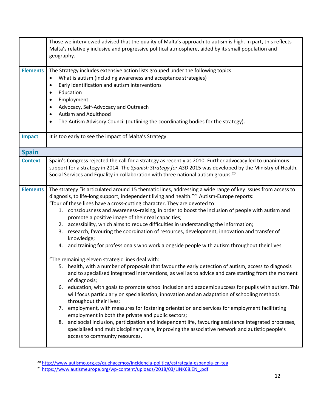|                 | Those we interviewed advised that the quality of Malta's approach to autism is high. In part, this reflects<br>Malta's relatively inclusive and progressive political atmosphere, aided by its small population and<br>geography.                                                                                                                                                                                                                                                                                                                                                                                                                                                                                                                                                                                                                                                                                                                                                                                                                                                                                                                                                                                                                                                                                                                                                                                                                                                                                                                                                                                                                                                                         |
|-----------------|-----------------------------------------------------------------------------------------------------------------------------------------------------------------------------------------------------------------------------------------------------------------------------------------------------------------------------------------------------------------------------------------------------------------------------------------------------------------------------------------------------------------------------------------------------------------------------------------------------------------------------------------------------------------------------------------------------------------------------------------------------------------------------------------------------------------------------------------------------------------------------------------------------------------------------------------------------------------------------------------------------------------------------------------------------------------------------------------------------------------------------------------------------------------------------------------------------------------------------------------------------------------------------------------------------------------------------------------------------------------------------------------------------------------------------------------------------------------------------------------------------------------------------------------------------------------------------------------------------------------------------------------------------------------------------------------------------------|
| <b>Elements</b> | The Strategy includes extensive action lists grouped under the following topics:<br>What is autism (including awareness and acceptance strategies)<br>$\bullet$<br>Early identification and autism interventions<br>$\bullet$<br>Education<br>$\bullet$<br>Employment<br>$\bullet$<br>Advocacy, Self-Advocacy and Outreach<br>$\bullet$<br>Autism and Adulthood<br>$\bullet$<br>The Autism Advisory Council (outlining the coordinating bodies for the strategy).<br>$\bullet$                                                                                                                                                                                                                                                                                                                                                                                                                                                                                                                                                                                                                                                                                                                                                                                                                                                                                                                                                                                                                                                                                                                                                                                                                            |
| <b>Impact</b>   | It is too early to see the impact of Malta's Strategy.                                                                                                                                                                                                                                                                                                                                                                                                                                                                                                                                                                                                                                                                                                                                                                                                                                                                                                                                                                                                                                                                                                                                                                                                                                                                                                                                                                                                                                                                                                                                                                                                                                                    |
| <b>Spain</b>    |                                                                                                                                                                                                                                                                                                                                                                                                                                                                                                                                                                                                                                                                                                                                                                                                                                                                                                                                                                                                                                                                                                                                                                                                                                                                                                                                                                                                                                                                                                                                                                                                                                                                                                           |
| <b>Context</b>  | Spain's Congress rejected the call for a strategy as recently as 2010. Further advocacy led to unanimous<br>support for a strategy in 2014. The Spanish Strategy for ASD 2015 was developed by the Ministry of Health,<br>Social Services and Equality in collaboration with three national autism groups. <sup>20</sup>                                                                                                                                                                                                                                                                                                                                                                                                                                                                                                                                                                                                                                                                                                                                                                                                                                                                                                                                                                                                                                                                                                                                                                                                                                                                                                                                                                                  |
| <b>Elements</b> | The strategy "is articulated around 15 thematic lines, addressing a wide range of key issues from access to<br>diagnosis, to life-long support, independent living and health." <sup>21</sup> Autism-Europe reports:<br>"four of these lines have a cross-cutting character. They are devoted to:<br>1. consciousness and awareness-raising, in order to boost the inclusion of people with autism and<br>promote a positive image of their real capacities;<br>2. accessibility, which aims to reduce difficulties in understanding the information;<br>3. research, favouring the coordination of resources, development, innovation and transfer of<br>knowledge;<br>4. and training for professionals who work alongside people with autism throughout their lives.<br>"The remaining eleven strategic lines deal with:<br>5. health, with a number of proposals that favour the early detection of autism, access to diagnosis<br>and to specialised integrated interventions, as well as to advice and care starting from the moment<br>of diagnosis;<br>6. education, with goals to promote school inclusion and academic success for pupils with autism. This<br>will focus particularly on specialisation, innovation and an adaptation of schooling methods<br>throughout their lives;<br>7. employment, with measures for fostering orientation and services for employment facilitating<br>employment in both the private and public sectors;<br>8. and social inclusion, participation and independent life, favouring assistance integrated processes,<br>specialised and multidisciplinary care, improving the associative network and autistic people's<br>access to community resources. |

<sup>&</sup>lt;sup>20</sup> <http://www.autismo.org.es/quehacemos/incidencia-politica/estrategia-espanola-en-tea>

<sup>&</sup>lt;sup>21</sup> [https://www.autismeurope.org/wp-content/uploads/2018/03/LINK68.EN\\_.pdf](https://www.autismeurope.org/wp-content/uploads/2018/03/LINK68.EN_.pdf)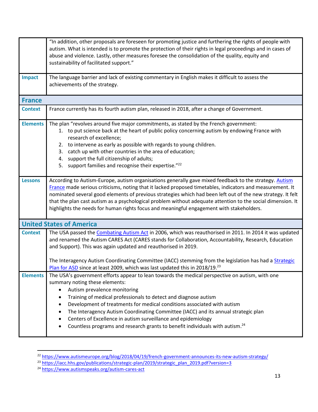|                 | "In addition, other proposals are foreseen for promoting justice and furthering the rights of people with<br>autism. What is intended is to promote the protection of their rights in legal proceedings and in cases of<br>abuse and violence. Lastly, other measures foresee the consolidation of the quality, equity and<br>sustainability of facilitated support."                                                                                                                                                                                                                |
|-----------------|--------------------------------------------------------------------------------------------------------------------------------------------------------------------------------------------------------------------------------------------------------------------------------------------------------------------------------------------------------------------------------------------------------------------------------------------------------------------------------------------------------------------------------------------------------------------------------------|
| <b>Impact</b>   | The language barrier and lack of existing commentary in English makes it difficult to assess the<br>achievements of the strategy.                                                                                                                                                                                                                                                                                                                                                                                                                                                    |
| <b>France</b>   |                                                                                                                                                                                                                                                                                                                                                                                                                                                                                                                                                                                      |
| <b>Context</b>  | France currently has its fourth autism plan, released in 2018, after a change of Government.                                                                                                                                                                                                                                                                                                                                                                                                                                                                                         |
| <b>Elements</b> | The plan "revolves around five major commitments, as stated by the French government:<br>1. to put science back at the heart of public policy concerning autism by endowing France with<br>research of excellence;<br>2. to intervene as early as possible with regards to young children.<br>3. catch up with other countries in the area of education;<br>4. support the full citizenship of adults;<br>5. support families and recognise their expertise."22                                                                                                                      |
| <b>Lessons</b>  | According to Autism-Europe, autism organisations generally gave mixed feedback to the strategy. Autism<br>France made serious criticisms, noting that it lacked proposed timetables, indicators and measurement. It<br>nominated several good elements of previous strategies which had been left out of the new strategy. It felt<br>that the plan cast autism as a psychological problem without adequate attention to the social dimension. It<br>highlights the needs for human rights focus and meaningful engagement with stakeholders.                                        |
|                 | <b>United States of America</b>                                                                                                                                                                                                                                                                                                                                                                                                                                                                                                                                                      |
| <b>Context</b>  | The USA passed the Combating Autism Act in 2006, which was reauthorised in 2011. In 2014 it was updated<br>and renamed the Autism CARES Act (CARES stands for Collaboration, Accountability, Research, Education<br>and Support). This was again updated and reauthorised in 2019.                                                                                                                                                                                                                                                                                                   |
|                 | The Interagency Autism Coordinating Committee (IACC) stemming from the legislation has had a <b>Strategic</b><br>Plan for ASD since at least 2009, which was last updated this in 2018/19. <sup>23</sup>                                                                                                                                                                                                                                                                                                                                                                             |
| <b>Elements</b> | The USA's government efforts appear to lean towards the medical perspective on autism, with one<br>summary noting these elements:<br>Autism prevalence monitoring<br>Training of medical professionals to detect and diagnose autism<br>Development of treatments for medical conditions associated with autism<br>٠<br>The Interagency Autism Coordinating Committee (IACC) and its annual strategic plan<br>Centers of Excellence in autism surveillance and epidemiology<br>Countless programs and research grants to benefit individuals with autism. <sup>24</sup><br>$\bullet$ |

<sup>&</sup>lt;sup>22</sup> <https://www.autismeurope.org/blog/2018/04/19/french-government-announces-its-new-autism-strategy/>

<sup>&</sup>lt;sup>23</sup> [https://iacc.hhs.gov/publications/strategic-plan/2019/strategic\\_plan\\_2019.pdf?version=3](https://iacc.hhs.gov/publications/strategic-plan/2019/strategic_plan_2019.pdf?version=3)

<sup>&</sup>lt;sup>24</sup> <https://www.autismspeaks.org/autism-cares-act>